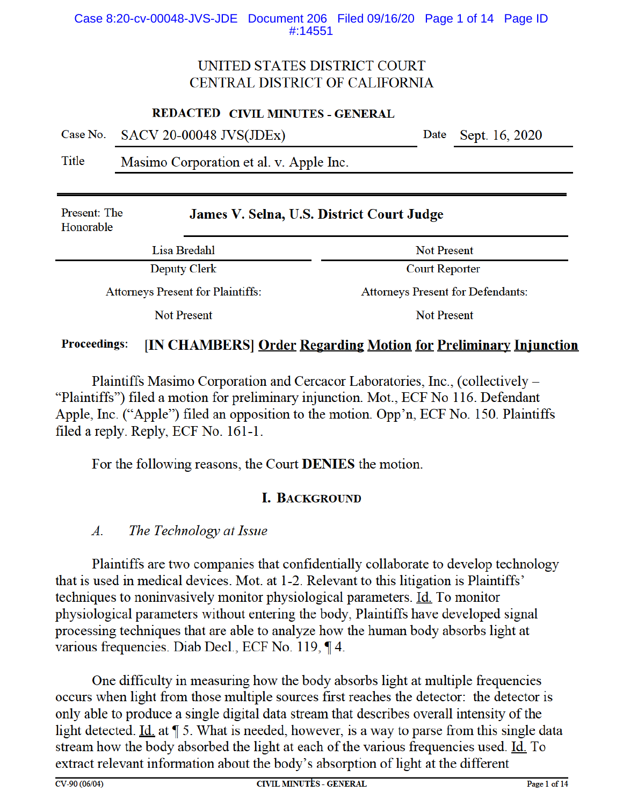### Case 8:20-cv-00048-JVS-JDE Document 206 Filed 09/16/20 Page 1 of 14 Page ID #:14551

# UNITED STATES DISTRICT COURT CENTRAL DISTRICT OF CALIFORNIA

#### **REDACTED CIVIL MINUTES - GENERAL**

|  | Case No. SACV 20-00048 JVS(JDEx) |  | Date Sept. 16, 2020 |
|--|----------------------------------|--|---------------------|
|--|----------------------------------|--|---------------------|

Title Masimo Corporation et al. v. Apple Inc.

| Present: The<br>Honorable                | James V. Selna, U.S. District Court Judge |                                          |  |  |  |
|------------------------------------------|-------------------------------------------|------------------------------------------|--|--|--|
| Lisa Bredahl                             |                                           | <b>Not Present</b>                       |  |  |  |
| Deputy Clerk                             |                                           | <b>Court Reporter</b>                    |  |  |  |
| <b>Attorneys Present for Plaintiffs:</b> |                                           | <b>Attorneys Present for Defendants:</b> |  |  |  |
| Not Present                              |                                           | Not Present                              |  |  |  |

#### [IN CHAMBERS] Order Regarding Motion for Preliminary Injunction **Proceedings:**

Plaintiffs Masimo Corporation and Cercacor Laboratories, Inc., (collectively – "Plaintiffs") filed a motion for preliminary injunction. Mot., ECF No 116. Defendant Apple, Inc. ("Apple") filed an opposition to the motion. Opp'n, ECF No. 150. Plaintiffs filed a reply. Reply, ECF No. 161-1.

For the following reasons, the Court **DENIES** the motion.

# **I. BACKGROUND**

#### $A$ . The Technology at Issue

Plaintiffs are two companies that confidentially collaborate to develop technology that is used in medical devices. Mot. at 1-2. Relevant to this litigation is Plaintiffs' techniques to noninvasively monitor physiological parameters. Id. To monitor physiological parameters without entering the body, Plaintiffs have developed signal processing techniques that are able to analyze how the human body absorbs light at various frequencies. Diab Decl., ECF No. 119, ¶ 4.

One difficulty in measuring how the body absorbs light at multiple frequencies occurs when light from those multiple sources first reaches the detector: the detector is only able to produce a single digital data stream that describes overall intensity of the light detected. Id. at ¶ 5. What is needed, however, is a way to parse from this single data stream how the body absorbed the light at each of the various frequencies used. Id. To extract relevant information about the body's absorption of light at the different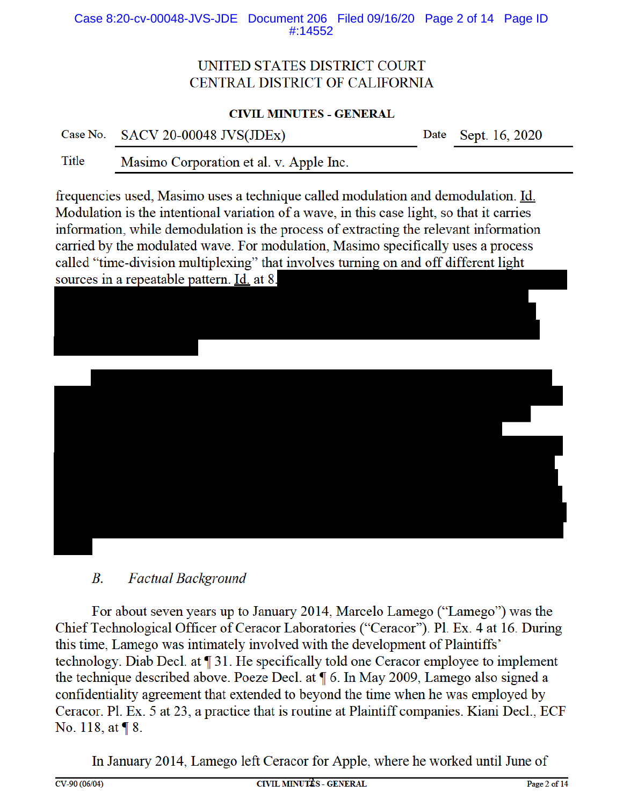Case 8:20-cv-00048-JVS-JDE Document 206 Filed 09/16/20 Page 2 of 14 Page ID #:14552

# UNITED STATES DISTRICT COURT CENTRAL DISTRICT OF CALIFORNIA

## **CIVIL MINUTES - GENERAL**

Case No. **SACV 20-00048 JVS(JDEx)**  Date Sept. 16, 2020

**Title** Masimo Corporation et al. v. Apple Inc.

frequencies used, Masimo uses a technique called modulation and demodulation. Id. Modulation is the intentional variation of a wave, in this case light, so that it carries information, while demodulation is the process of extracting the relevant information carried by the modulated wave. For modulation, Masimo specifically uses a process called "time-division multiplexing" that involves turning on and off different light sources in a repeatable pattern. Id. at 8.





#### $B<sub>1</sub>$ **Factual Background**

For about seven years up to January 2014, Marcelo Lamego ("Lamego") was the Chief Technological Officer of Ceracor Laboratories ("Ceracor"). Pl. Ex. 4 at 16. During this time. Lamego was intimately involved with the development of Plaintiffs' technology. Diab Decl. at ¶ 31. He specifically told one Ceracor employee to implement the technique described above. Poeze Decl. at  $\P$  6. In May 2009, Lamego also signed a confidentiality agreement that extended to beyond the time when he was employed by Ceracor. Pl. Ex. 5 at 23, a practice that is routine at Plaintiff companies. Kiani Decl., ECF No. 118, at | 8.

In January 2014, Lamego left Ceracor for Apple, where he worked until June of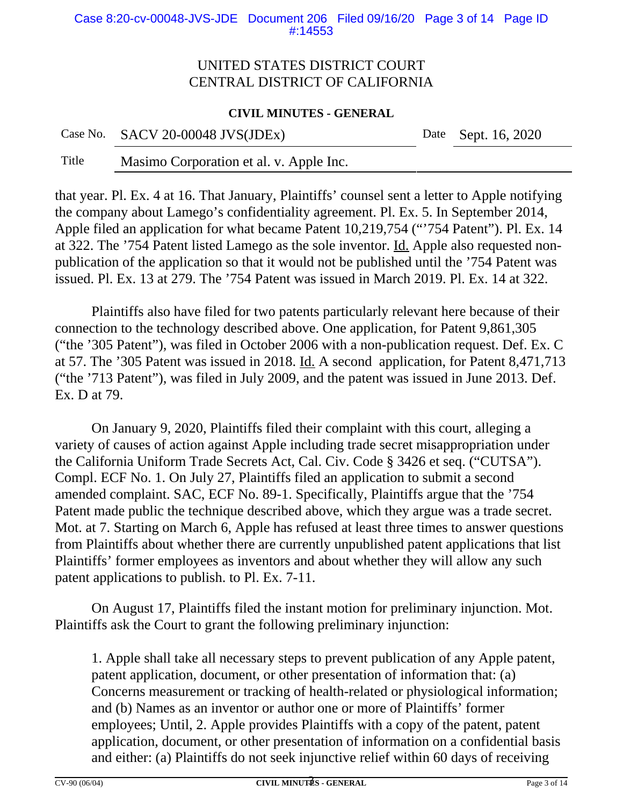#### Case 8:20-cv-00048-JVS-JDE Document 206 Filed 09/16/20 Page 3 of 14 Page ID #:14553

# UNITED STATES DISTRICT COURT CENTRAL DISTRICT OF CALIFORNIA

### **CIVIL MINUTES - GENERAL**

Case No. SACV 20-00048 JVS(JDEx) Date Sept. 16, 2020

Title Masimo Corporation et al. v. Apple Inc.

that year. Pl. Ex. 4 at 16. That January, Plaintiffs' counsel sent a letter to Apple notifying the company about Lamego's confidentiality agreement. Pl. Ex. 5. In September 2014, Apple filed an application for what became Patent 10,219,754 ("'754 Patent"). Pl. Ex. 14 at 322. The '754 Patent listed Lamego as the sole inventor. Id. Apple also requested nonpublication of the application so that it would not be published until the '754 Patent was issued. Pl. Ex. 13 at 279. The '754 Patent was issued in March 2019. Pl. Ex. 14 at 322.

Plaintiffs also have filed for two patents particularly relevant here because of their connection to the technology described above. One application, for Patent 9,861,305 ("the '305 Patent"), was filed in October 2006 with a non-publication request. Def. Ex. C at 57. The '305 Patent was issued in 2018. Id. A second application, for Patent 8,471,713 ("the '713 Patent"), was filed in July 2009, and the patent was issued in June 2013. Def. Ex. D at 79.

On January 9, 2020, Plaintiffs filed their complaint with this court, alleging a variety of causes of action against Apple including trade secret misappropriation under the California Uniform Trade Secrets Act, Cal. Civ. Code § 3426 et seq. ("CUTSA"). Compl. ECF No. 1. On July 27, Plaintiffs filed an application to submit a second amended complaint. SAC, ECF No. 89-1. Specifically, Plaintiffs argue that the '754 Patent made public the technique described above, which they argue was a trade secret. Mot. at 7. Starting on March 6, Apple has refused at least three times to answer questions from Plaintiffs about whether there are currently unpublished patent applications that list Plaintiffs' former employees as inventors and about whether they will allow any such patent applications to publish. to Pl. Ex. 7-11.

On August 17, Plaintiffs filed the instant motion for preliminary injunction. Mot. Plaintiffs ask the Court to grant the following preliminary injunction:

1. Apple shall take all necessary steps to prevent publication of any Apple patent, patent application, document, or other presentation of information that: (a) Concerns measurement or tracking of health-related or physiological information; and (b) Names as an inventor or author one or more of Plaintiffs' former employees; Until, 2. Apple provides Plaintiffs with a copy of the patent, patent application, document, or other presentation of information on a confidential basis and either: (a) Plaintiffs do not seek injunctive relief within 60 days of receiving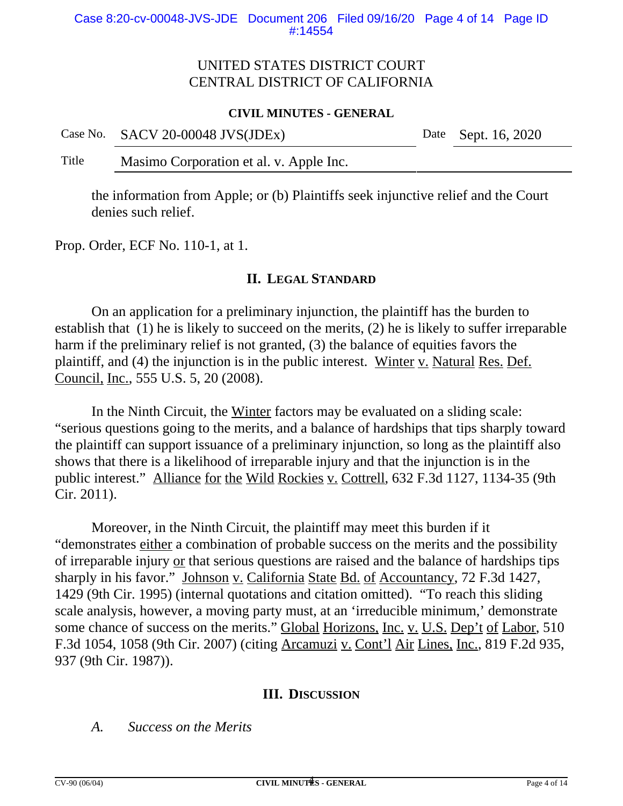# UNITED STATES DISTRICT COURT CENTRAL DISTRICT OF CALIFORNIA

### **CIVIL MINUTES - GENERAL**

Case No. SACV 20-00048 JVS(JDEx) Date Sept. 16, 2020

Title Masimo Corporation et al. v. Apple Inc.

the information from Apple; or (b) Plaintiffs seek injunctive relief and the Court denies such relief.

Prop. Order, ECF No. 110-1, at 1.

## **II. LEGAL STANDARD**

On an application for a preliminary injunction, the plaintiff has the burden to establish that (1) he is likely to succeed on the merits, (2) he is likely to suffer irreparable harm if the preliminary relief is not granted, (3) the balance of equities favors the plaintiff, and (4) the injunction is in the public interest. Winter v. Natural Res. Def. Council, Inc., 555 U.S. 5, 20 (2008).

In the Ninth Circuit, the Winter factors may be evaluated on a sliding scale: "serious questions going to the merits, and a balance of hardships that tips sharply toward the plaintiff can support issuance of a preliminary injunction, so long as the plaintiff also shows that there is a likelihood of irreparable injury and that the injunction is in the public interest." Alliance for the Wild Rockies v. Cottrell, 632 F.3d 1127, 1134-35 (9th Cir. 2011).

Moreover, in the Ninth Circuit, the plaintiff may meet this burden if it "demonstrates either a combination of probable success on the merits and the possibility of irreparable injury or that serious questions are raised and the balance of hardships tips sharply in his favor." Johnson v. California State Bd. of Accountancy, 72 F.3d 1427, 1429 (9th Cir. 1995) (internal quotations and citation omitted). "To reach this sliding scale analysis, however, a moving party must, at an 'irreducible minimum,' demonstrate some chance of success on the merits." Global Horizons, Inc. v. U.S. Dep't of Labor, 510 F.3d 1054, 1058 (9th Cir. 2007) (citing Arcamuzi v. Cont'l Air Lines, Inc., 819 F.2d 935, 937 (9th Cir. 1987)).

## **III. DISCUSSION**

*A. Success on the Merits*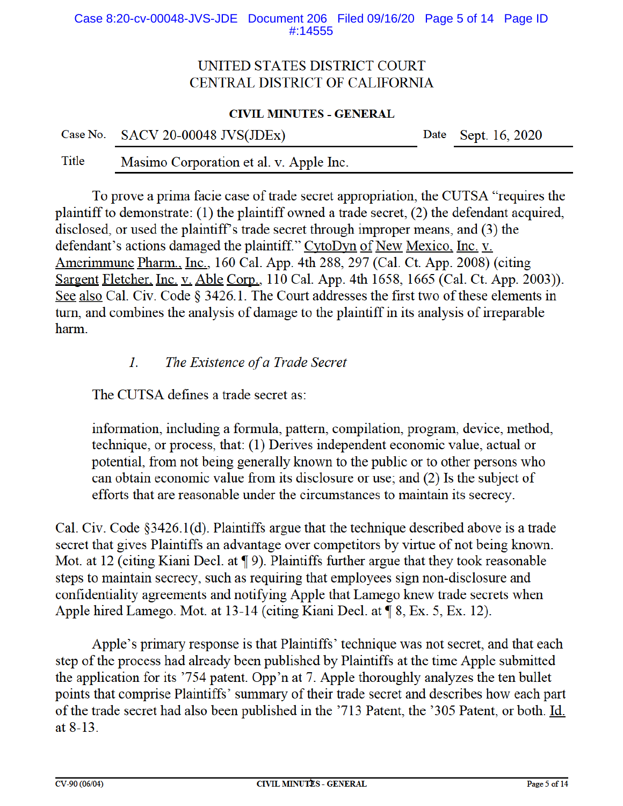#### Case 8:20-cv-00048-JVS-JDE Document 206 Filed 09/16/20 Page 5 of 14 Page ID #:14555

# UNITED STATES DISTRICT COURT CENTRAL DISTRICT OF CALIFORNIA

### **CIVIL MINUTES - GENERAL**

| Case No. SACV 20-00048 JVS(JDEx) | Date Sept. 16, 2020 |
|----------------------------------|---------------------|
|                                  |                     |

Title Masimo Corporation et al. v. Apple Inc.

To prove a prima facie case of trade secret appropriation, the CUTSA "requires the plaintiff to demonstrate: (1) the plaintiff owned a trade secret,  $(2)$  the defendant acquired, disclosed, or used the plaintiff's trade secret through improper means, and (3) the defendant's actions damaged the plaintiff." CytoDyn of New Mexico, Inc. v. Amerimmune Pharm., Inc., 160 Cal. App. 4th 288, 297 (Cal. Ct. App. 2008) (citing Sargent Fletcher, Inc. v. Able Corp., 110 Cal. App. 4th 1658, 1665 (Cal. Ct. App. 2003)). See also Cal. Civ. Code § 3426.1. The Court addresses the first two of these elements in turn, and combines the analysis of damage to the plaintiff in its analysis of irreparable harm.

#### The Existence of a Trade Secret  $l_{\cdot}$

The CUTSA defines a trade secret as:

information, including a formula, pattern, compilation, program, device, method, technique, or process, that: (1) Derives independent economic value, actual or potential, from not being generally known to the public or to other persons who can obtain economic value from its disclosure or use; and (2) Is the subject of efforts that are reasonable under the circumstances to maintain its secrecy.

Cal. Civ. Code  $\S 3426.1(d)$ . Plaintiffs argue that the technique described above is a trade secret that gives Plaintiffs an advantage over competitors by virtue of not being known. Mot. at 12 (citing Kiani Decl. at  $\P$ 9). Plaintiffs further argue that they took reasonable steps to maintain secrecy, such as requiring that employees sign non-disclosure and confidentiality agreements and notifying Apple that Lamego knew trade secrets when Apple hired Lamego. Mot. at 13-14 (citing Kiani Decl. at ¶ 8, Ex. 5, Ex. 12).

Apple's primary response is that Plaintiffs' technique was not secret, and that each step of the process had already been published by Plaintiffs at the time Apple submitted the application for its '754 patent. Opp'n at 7. Apple thoroughly analyzes the ten bullet points that comprise Plaintiffs' summary of their trade secret and describes how each part of the trade secret had also been published in the '713 Patent, the '305 Patent, or both. Id. at  $8-13$ .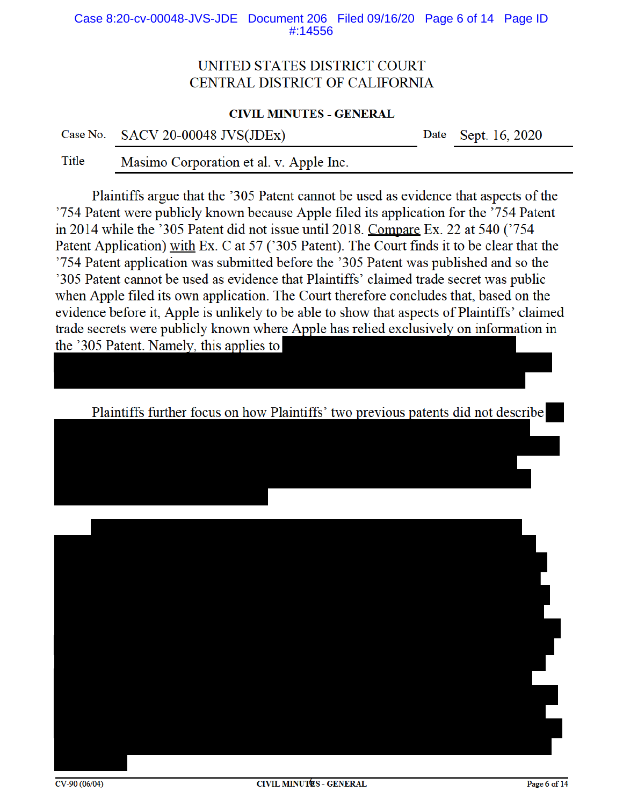#### Case 8:20-cv-00048-JVS-JDE Document 206 Filed 09/16/20 Page 6 of 14 Page ID #:14556

# UNITED STATES DISTRICT COURT CENTRAL DISTRICT OF CALIFORNIA

#### **CIVIL MINUTES - GENERAL**

| Case No. | <b>SACV 20-00048 JVS(JDEx)</b> |  |
|----------|--------------------------------|--|
|----------|--------------------------------|--|

Date Sept. 16, 2020

**Title** Masimo Corporation et al. v. Apple Inc.

Plaintiffs argue that the '305 Patent cannot be used as evidence that aspects of the '754 Patent were publicly known because Apple filed its application for the '754 Patent in 2014 while the '305 Patent did not issue until 2018. Compare Ex. 22 at 540 ('754 Patent Application) with Ex. C at 57 ('305 Patent). The Court finds it to be clear that the '754 Patent application was submitted before the '305 Patent was published and so the '305 Patent cannot be used as evidence that Plaintiffs' claimed trade secret was public when Apple filed its own application. The Court therefore concludes that, based on the evidence before it, Apple is unlikely to be able to show that aspects of Plaintiffs' claimed trade secrets were publicly known where Apple has relied exclusively on information in the '305 Patent. Namely, this applies to

Plaintiffs further focus on how Plaintiffs' two previous patents did not describe

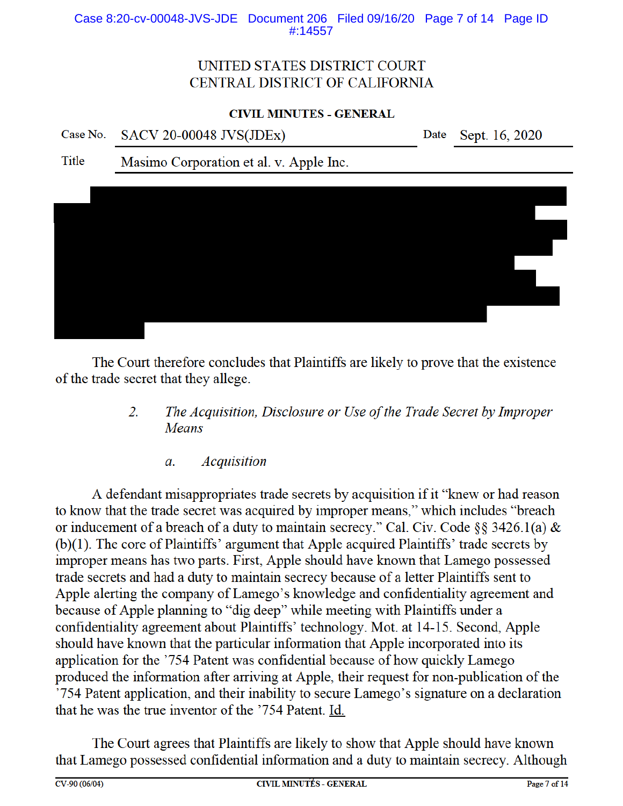### Case 8:20-cv-00048-JVS-JDE Document 206 Filed 09/16/20 Page 7 of 14 Page ID #:14557

# UNITED STATES DISTRICT COURT CENTRAL DISTRICT OF CALIFORNIA

### **CIVIL MINUTES - GENERAL**

Case No. **SACV 20-00048 JVS(JDEx)**  Date Sept. 16, 2020

**Title** Masimo Corporation et al. v. Apple Inc.



The Court therefore concludes that Plaintiffs are likely to prove that the existence of the trade secret that they allege.

- 2. The Acquisition, Disclosure or Use of the Trade Secret by Improper Means
	- **Acquisition**  $\mathfrak{a}$ .

A defendant misappropriates trade secrets by acquisition if it "knew or had reason" to know that the trade secret was acquired by improper means," which includes "breach or inducement of a breach of a duty to maintain secrecy." Cal. Civ. Code §§ 3426.1(a) &  $(b)(1)$ . The core of Plaintiffs' argument that Apple acquired Plaintiffs' trade secrets by improper means has two parts. First, Apple should have known that Lamego possessed trade secrets and had a duty to maintain secrecy because of a letter Plaintiffs sent to Apple alerting the company of Lamego's knowledge and confidentiality agreement and because of Apple planning to "dig deep" while meeting with Plaintiffs under a confidentiality agreement about Plaintiffs' technology. Mot. at 14-15. Second, Apple should have known that the particular information that Apple incorporated into its application for the '754 Patent was confidential because of how quickly Lamego produced the information after arriving at Apple, their request for non-publication of the '754 Patent application, and their inability to secure Lamego's signature on a declaration that he was the true inventor of the '754 Patent. Id.

The Court agrees that Plaintiffs are likely to show that Apple should have known that Lamego possessed confidential information and a duty to maintain secrecy. Although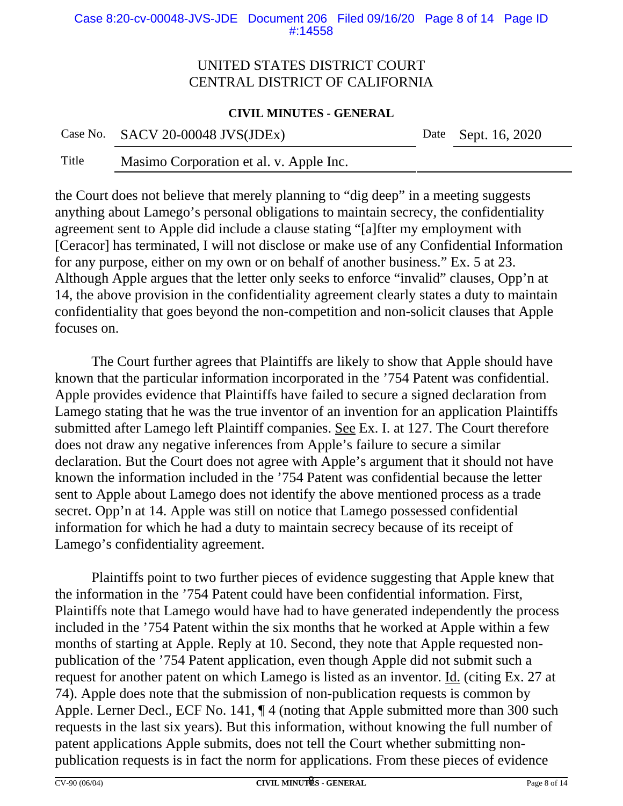#### Case 8:20-cv-00048-JVS-JDE Document 206 Filed 09/16/20 Page 8 of 14 Page ID #:14558

# UNITED STATES DISTRICT COURT CENTRAL DISTRICT OF CALIFORNIA

### **CIVIL MINUTES - GENERAL**

Case No. SACV 20-00048 JVS(JDEx) Date Sept. 16, 2020

Title Masimo Corporation et al. v. Apple Inc.

the Court does not believe that merely planning to "dig deep" in a meeting suggests anything about Lamego's personal obligations to maintain secrecy, the confidentiality agreement sent to Apple did include a clause stating "[a]fter my employment with [Ceracor] has terminated, I will not disclose or make use of any Confidential Information for any purpose, either on my own or on behalf of another business." Ex. 5 at 23. Although Apple argues that the letter only seeks to enforce "invalid" clauses, Opp'n at 14, the above provision in the confidentiality agreement clearly states a duty to maintain confidentiality that goes beyond the non-competition and non-solicit clauses that Apple focuses on.

The Court further agrees that Plaintiffs are likely to show that Apple should have known that the particular information incorporated in the '754 Patent was confidential. Apple provides evidence that Plaintiffs have failed to secure a signed declaration from Lamego stating that he was the true inventor of an invention for an application Plaintiffs submitted after Lamego left Plaintiff companies. See Ex. I. at 127. The Court therefore does not draw any negative inferences from Apple's failure to secure a similar declaration. But the Court does not agree with Apple's argument that it should not have known the information included in the '754 Patent was confidential because the letter sent to Apple about Lamego does not identify the above mentioned process as a trade secret. Opp'n at 14. Apple was still on notice that Lamego possessed confidential information for which he had a duty to maintain secrecy because of its receipt of Lamego's confidentiality agreement.

Plaintiffs point to two further pieces of evidence suggesting that Apple knew that the information in the '754 Patent could have been confidential information. First, Plaintiffs note that Lamego would have had to have generated independently the process included in the '754 Patent within the six months that he worked at Apple within a few months of starting at Apple. Reply at 10. Second, they note that Apple requested nonpublication of the '754 Patent application, even though Apple did not submit such a request for another patent on which Lamego is listed as an inventor. Id. (citing Ex. 27 at 74). Apple does note that the submission of non-publication requests is common by Apple. Lerner Decl., ECF No. 141, ¶ 4 (noting that Apple submitted more than 300 such requests in the last six years). But this information, without knowing the full number of patent applications Apple submits, does not tell the Court whether submitting nonpublication requests is in fact the norm for applications. From these pieces of evidence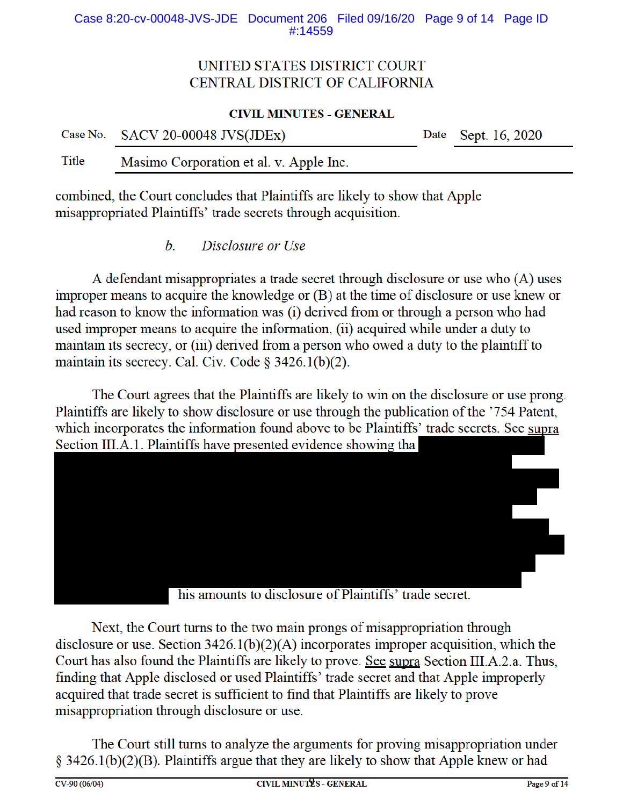### Case 8:20-cv-00048-JVS-JDE Document 206 Filed 09/16/20 Page 9 of 14 Page ID #:14559

# UNITED STATES DISTRICT COURT CENTRAL DISTRICT OF CALIFORNIA

#### **CIVIL MINUTES - GENERAL**

|       | Case No. SACV 20-00048 JVS(JDEx) |  |  |  | Date Sept. 16, 2020 |  |
|-------|----------------------------------|--|--|--|---------------------|--|
| _____ |                                  |  |  |  |                     |  |

Title Masimo Corporation et al. v. Apple Inc.

combined, the Court concludes that Plaintiffs are likely to show that Apple misappropriated Plaintiffs' trade secrets through acquisition.

> $h_{\cdot}$ Disclosure or Use

A defendant misappropriates a trade secret through disclosure or use who (A) uses improper means to acquire the knowledge or (B) at the time of disclosure or use knew or had reason to know the information was (i) derived from or through a person who had used improper means to acquire the information, (ii) acquired while under a duty to maintain its secrecy, or (iii) derived from a person who owed a duty to the plaintiff to maintain its secrecy. Cal. Civ. Code §  $3426.1(b)(2)$ .

The Court agrees that the Plaintiffs are likely to win on the disclosure or use prong. Plaintiffs are likely to show disclosure or use through the publication of the '754 Patent, which incorporates the information found above to be Plaintiffs' trade secrets. See supra Section III.A.1. Plaintiffs have presented evidence showing tha



his amounts to disclosure of Plaintiffs' trade secret.

Next, the Court turns to the two main prongs of misappropriation through disclosure or use. Section  $3426.1(b)(2)(A)$  incorporates improper acquisition, which the Court has also found the Plaintiffs are likely to prove. See supra Section III.A.2.a. Thus, finding that Apple disclosed or used Plaintiffs' trade secret and that Apple improperly acquired that trade secret is sufficient to find that Plaintiffs are likely to prove misappropriation through disclosure or use.

The Court still turns to analyze the arguments for proving misappropriation under  $\S$  3426.1(b)(2)(B). Plaintiffs argue that they are likely to show that Apple knew or had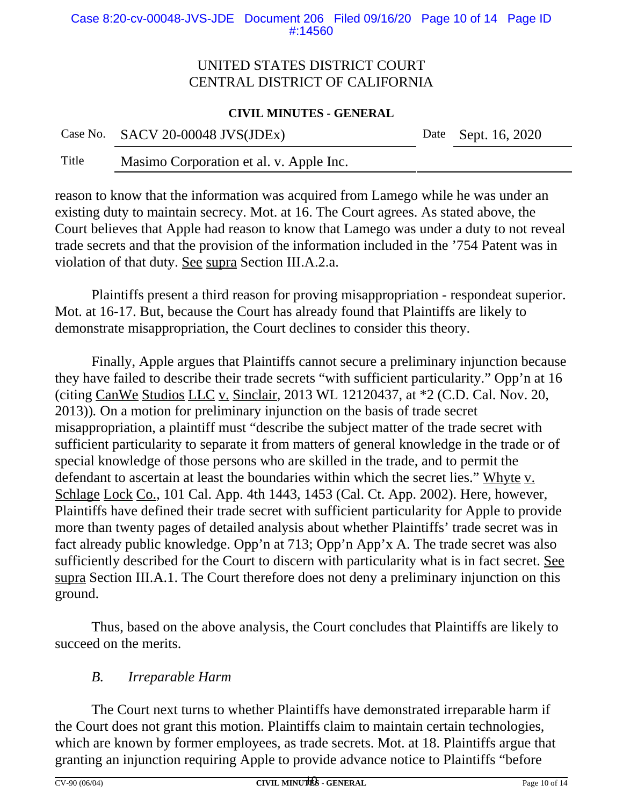# UNITED STATES DISTRICT COURT CENTRAL DISTRICT OF CALIFORNIA

### **CIVIL MINUTES - GENERAL**

| Case No. SACV 20-00048 JVS(JDEx) |  |
|----------------------------------|--|
|----------------------------------|--|

Date Sept. 16, 2020

Title Masimo Corporation et al. v. Apple Inc.

reason to know that the information was acquired from Lamego while he was under an existing duty to maintain secrecy. Mot. at 16. The Court agrees. As stated above, the Court believes that Apple had reason to know that Lamego was under a duty to not reveal trade secrets and that the provision of the information included in the '754 Patent was in violation of that duty. See supra Section III.A.2.a.

Plaintiffs present a third reason for proving misappropriation - respondeat superior. Mot. at 16-17. But, because the Court has already found that Plaintiffs are likely to demonstrate misappropriation, the Court declines to consider this theory.

Finally, Apple argues that Plaintiffs cannot secure a preliminary injunction because they have failed to describe their trade secrets "with sufficient particularity." Opp'n at 16 (citing CanWe Studios LLC v. Sinclair, 2013 WL 12120437, at \*2 (C.D. Cal. Nov. 20, 2013))*.* On a motion for preliminary injunction on the basis of trade secret misappropriation, a plaintiff must "describe the subject matter of the trade secret with sufficient particularity to separate it from matters of general knowledge in the trade or of special knowledge of those persons who are skilled in the trade, and to permit the defendant to ascertain at least the boundaries within which the secret lies." Whyte v. Schlage Lock Co., 101 Cal. App. 4th 1443, 1453 (Cal. Ct. App. 2002). Here, however, Plaintiffs have defined their trade secret with sufficient particularity for Apple to provide more than twenty pages of detailed analysis about whether Plaintiffs' trade secret was in fact already public knowledge. Opp'n at 713; Opp'n App'x A. The trade secret was also sufficiently described for the Court to discern with particularity what is in fact secret. See supra Section III.A.1. The Court therefore does not deny a preliminary injunction on this ground.

Thus, based on the above analysis, the Court concludes that Plaintiffs are likely to succeed on the merits.

# *B. Irreparable Harm*

The Court next turns to whether Plaintiffs have demonstrated irreparable harm if the Court does not grant this motion. Plaintiffs claim to maintain certain technologies, which are known by former employees, as trade secrets. Mot. at 18. Plaintiffs argue that granting an injunction requiring Apple to provide advance notice to Plaintiffs "before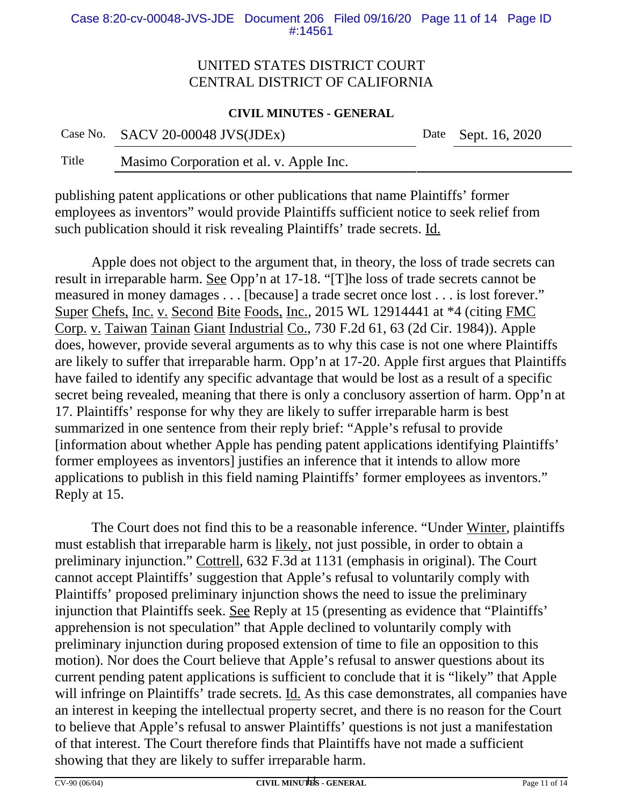#### Case 8:20-cv-00048-JVS-JDE Document 206 Filed 09/16/20 Page 11 of 14 Page ID #:14561

# UNITED STATES DISTRICT COURT CENTRAL DISTRICT OF CALIFORNIA

### **CIVIL MINUTES - GENERAL**

Case No. SACV 20-00048 JVS(JDEx) Date Sept. 16, 2020

Title Masimo Corporation et al. v. Apple Inc.

publishing patent applications or other publications that name Plaintiffs' former employees as inventors" would provide Plaintiffs sufficient notice to seek relief from such publication should it risk revealing Plaintiffs' trade secrets. Id.

Apple does not object to the argument that, in theory, the loss of trade secrets can result in irreparable harm. See Opp'n at 17-18. "[T]he loss of trade secrets cannot be measured in money damages . . . [because] a trade secret once lost . . . is lost forever." Super Chefs, Inc. v. Second Bite Foods, Inc., 2015 WL 12914441 at \*4 (citing FMC Corp. v. Taiwan Tainan Giant Industrial Co., 730 F.2d 61, 63 (2d Cir. 1984)). Apple does, however, provide several arguments as to why this case is not one where Plaintiffs are likely to suffer that irreparable harm. Opp'n at 17-20. Apple first argues that Plaintiffs have failed to identify any specific advantage that would be lost as a result of a specific secret being revealed, meaning that there is only a conclusory assertion of harm. Opp'n at 17. Plaintiffs' response for why they are likely to suffer irreparable harm is best summarized in one sentence from their reply brief: "Apple's refusal to provide [information about whether Apple has pending patent applications identifying Plaintiffs' former employees as inventors] justifies an inference that it intends to allow more applications to publish in this field naming Plaintiffs' former employees as inventors." Reply at 15.

The Court does not find this to be a reasonable inference. "Under Winter, plaintiffs must establish that irreparable harm is likely, not just possible, in order to obtain a preliminary injunction." Cottrell, 632 F.3d at 1131 (emphasis in original). The Court cannot accept Plaintiffs' suggestion that Apple's refusal to voluntarily comply with Plaintiffs' proposed preliminary injunction shows the need to issue the preliminary injunction that Plaintiffs seek. See Reply at 15 (presenting as evidence that "Plaintiffs' apprehension is not speculation" that Apple declined to voluntarily comply with preliminary injunction during proposed extension of time to file an opposition to this motion). Nor does the Court believe that Apple's refusal to answer questions about its current pending patent applications is sufficient to conclude that it is "likely" that Apple will infringe on Plaintiffs' trade secrets. Id. As this case demonstrates, all companies have an interest in keeping the intellectual property secret, and there is no reason for the Court to believe that Apple's refusal to answer Plaintiffs' questions is not just a manifestation of that interest. The Court therefore finds that Plaintiffs have not made a sufficient showing that they are likely to suffer irreparable harm.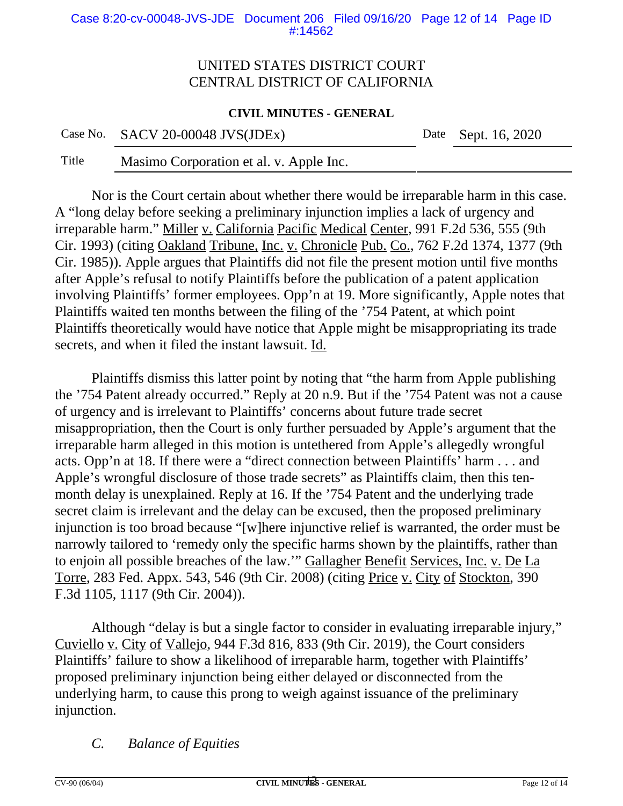#### Case 8:20-cv-00048-JVS-JDE Document 206 Filed 09/16/20 Page 12 of 14 Page ID #:14562

## UNITED STATES DISTRICT COURT CENTRAL DISTRICT OF CALIFORNIA

#### **CIVIL MINUTES - GENERAL**

Case No. SACV 20-00048 JVS(JDEx) Date Sept. 16, 2020

Title Masimo Corporation et al. v. Apple Inc.

Nor is the Court certain about whether there would be irreparable harm in this case. A "long delay before seeking a preliminary injunction implies a lack of urgency and irreparable harm." Miller v. California Pacific Medical Center, 991 F.2d 536, 555 (9th Cir. 1993) (citing Oakland Tribune, Inc. v. Chronicle Pub. Co., 762 F.2d 1374, 1377 (9th Cir. 1985)). Apple argues that Plaintiffs did not file the present motion until five months after Apple's refusal to notify Plaintiffs before the publication of a patent application involving Plaintiffs' former employees. Opp'n at 19. More significantly, Apple notes that Plaintiffs waited ten months between the filing of the '754 Patent, at which point Plaintiffs theoretically would have notice that Apple might be misappropriating its trade secrets, and when it filed the instant lawsuit. Id.

Plaintiffs dismiss this latter point by noting that "the harm from Apple publishing the '754 Patent already occurred." Reply at 20 n.9. But if the '754 Patent was not a cause of urgency and is irrelevant to Plaintiffs' concerns about future trade secret misappropriation, then the Court is only further persuaded by Apple's argument that the irreparable harm alleged in this motion is untethered from Apple's allegedly wrongful acts. Opp'n at 18. If there were a "direct connection between Plaintiffs' harm . . . and Apple's wrongful disclosure of those trade secrets" as Plaintiffs claim, then this tenmonth delay is unexplained. Reply at 16. If the '754 Patent and the underlying trade secret claim is irrelevant and the delay can be excused, then the proposed preliminary injunction is too broad because "[w]here injunctive relief is warranted, the order must be narrowly tailored to 'remedy only the specific harms shown by the plaintiffs, rather than to enjoin all possible breaches of the law.'" Gallagher Benefit Services, Inc. v. De La Torre, 283 Fed. Appx. 543, 546 (9th Cir. 2008) (citing Price v. City of Stockton, 390 F.3d 1105, 1117 (9th Cir. 2004)).

Although "delay is but a single factor to consider in evaluating irreparable injury," Cuviello v. City of Vallejo, 944 F.3d 816, 833 (9th Cir. 2019), the Court considers Plaintiffs' failure to show a likelihood of irreparable harm, together with Plaintiffs' proposed preliminary injunction being either delayed or disconnected from the underlying harm, to cause this prong to weigh against issuance of the preliminary injunction.

*C. Balance of Equities*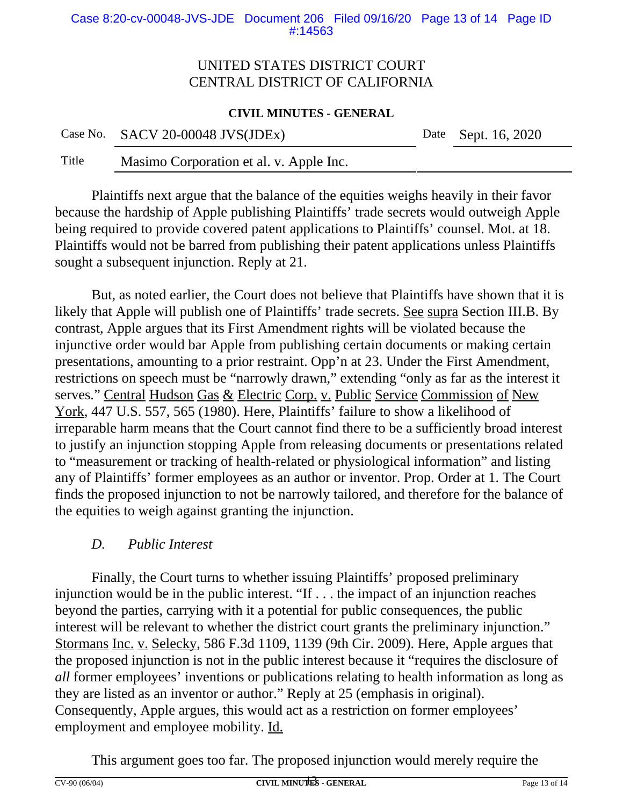#### Case 8:20-cv-00048-JVS-JDE Document 206 Filed 09/16/20 Page 13 of 14 Page ID #:14563

# UNITED STATES DISTRICT COURT CENTRAL DISTRICT OF CALIFORNIA

### **CIVIL MINUTES - GENERAL**

Title Masimo Corporation et al. v. Apple Inc.

Plaintiffs next argue that the balance of the equities weighs heavily in their favor because the hardship of Apple publishing Plaintiffs' trade secrets would outweigh Apple being required to provide covered patent applications to Plaintiffs' counsel. Mot. at 18. Plaintiffs would not be barred from publishing their patent applications unless Plaintiffs sought a subsequent injunction. Reply at 21.

But, as noted earlier, the Court does not believe that Plaintiffs have shown that it is likely that Apple will publish one of Plaintiffs' trade secrets. See supra Section III.B. By contrast, Apple argues that its First Amendment rights will be violated because the injunctive order would bar Apple from publishing certain documents or making certain presentations, amounting to a prior restraint. Opp'n at 23. Under the First Amendment, restrictions on speech must be "narrowly drawn," extending "only as far as the interest it serves." Central Hudson Gas & Electric Corp. v. Public Service Commission of New York, 447 U.S. 557, 565 (1980). Here, Plaintiffs' failure to show a likelihood of irreparable harm means that the Court cannot find there to be a sufficiently broad interest to justify an injunction stopping Apple from releasing documents or presentations related to "measurement or tracking of health-related or physiological information" and listing any of Plaintiffs' former employees as an author or inventor. Prop. Order at 1. The Court finds the proposed injunction to not be narrowly tailored, and therefore for the balance of the equities to weigh against granting the injunction.

# *D. Public Interest*

Finally, the Court turns to whether issuing Plaintiffs' proposed preliminary injunction would be in the public interest. "If . . . the impact of an injunction reaches beyond the parties, carrying with it a potential for public consequences, the public interest will be relevant to whether the district court grants the preliminary injunction." Stormans Inc. v. Selecky, 586 F.3d 1109, 1139 (9th Cir. 2009). Here, Apple argues that the proposed injunction is not in the public interest because it "requires the disclosure of *all* former employees' inventions or publications relating to health information as long as they are listed as an inventor or author." Reply at 25 (emphasis in original). Consequently, Apple argues, this would act as a restriction on former employees' employment and employee mobility. Id.

This argument goes too far. The proposed injunction would merely require the